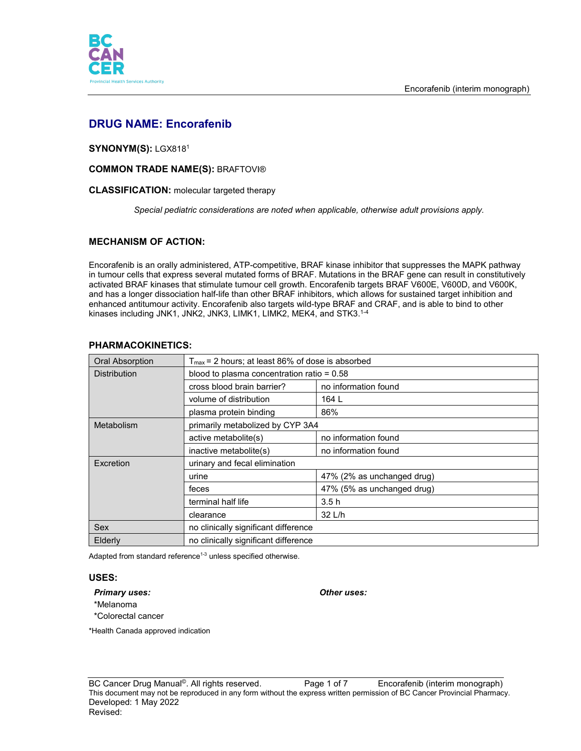

# **DRUG NAME: Encorafenib**

## **SYNONYM(S):** LGX8181

## **COMMON TRADE NAME(S):** BRAFTOVI®

## **CLASSIFICATION:** molecular targeted therapy

*Special pediatric considerations are noted when applicable, otherwise adult provisions apply.*

# **MECHANISM OF ACTION:**

Encorafenib is an orally administered, ATP-competitive, BRAF kinase inhibitor that suppresses the MAPK pathway in tumour cells that express several mutated forms of BRAF. Mutations in the BRAF gene can result in constitutively activated BRAF kinases that stimulate tumour cell growth. Encorafenib targets BRAF V600E, V600D, and V600K, and has a longer dissociation half-life than other BRAF inhibitors, which allows for sustained target inhibition and enhanced antitumour activity. Encorafenib also targets wild-type BRAF and CRAF, and is able to bind to other kinases including JNK1, JNK2, JNK3, LIMK1, LIMK2, MEK4, and STK3.1-4

| <b>Oral Absorption</b> | $T_{\text{max}}$ = 2 hours; at least 86% of dose is absorbed |                            |
|------------------------|--------------------------------------------------------------|----------------------------|
| <b>Distribution</b>    | blood to plasma concentration ratio = $0.58$                 |                            |
|                        | cross blood brain barrier?                                   | no information found       |
|                        | volume of distribution                                       | 164 L                      |
|                        | plasma protein binding                                       | 86%                        |
| Metabolism             | primarily metabolized by CYP 3A4                             |                            |
|                        | active metabolite(s)                                         | no information found       |
|                        | inactive metabolite(s)                                       | no information found       |
| Excretion              | urinary and fecal elimination                                |                            |
|                        | urine                                                        | 47% (2% as unchanged drug) |
|                        | feces                                                        | 47% (5% as unchanged drug) |
|                        | terminal half life                                           | 3.5h                       |
|                        | clearance                                                    | 32 L/h                     |
| Sex                    | no clinically significant difference                         |                            |
| Elderly                | no clinically significant difference                         |                            |

## **PHARMACOKINETICS:**

Adapted from standard reference<sup>1-3</sup> unless specified otherwise.

## **USES:**

#### *Primary uses: Other uses:*

- \*Melanoma
- \*Colorectal cancer

\*Health Canada approved indication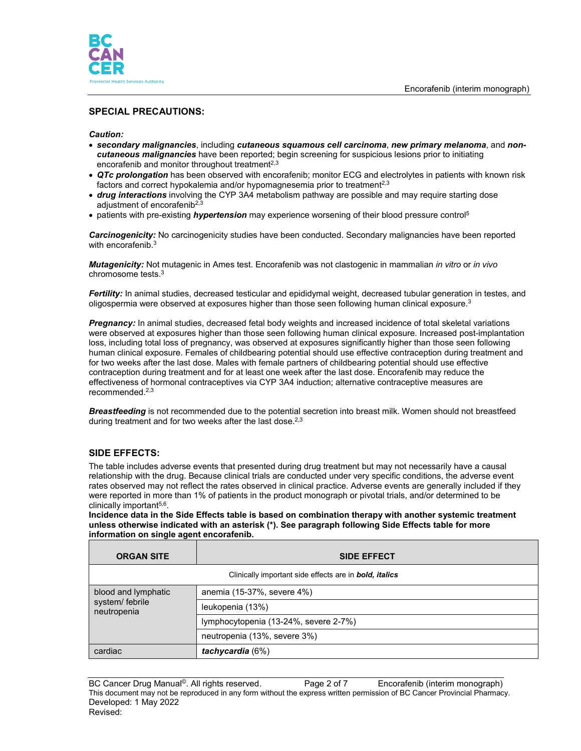

# **SPECIAL PRECAUTIONS:**

## *Caution:*

- *secondary malignancies*, including *cutaneous squamous cell carcinoma*, *new primary melanoma*, and *noncutaneous malignancies* have been reported; begin screening for suspicious lesions prior to initiating encorafenib and monitor throughout treatment $^{2,3}$
- *QTc prolongation* has been observed with encorafenib; monitor ECG and electrolytes in patients with known risk factors and correct hypokalemia and/or hypomagnesemia prior to treatment<sup>2,3</sup>
- *drug interactions* involving the CYP 3A4 metabolism pathway are possible and may require starting dose adjustment of encorafenib<sup>2,3</sup>
- patients with pre-existing *hypertension* may experience worsening of their blood pressure control5

*Carcinogenicity:* No carcinogenicity studies have been conducted. Secondary malignancies have been reported with encorafenib.<sup>3</sup>

*Mutagenicity:* Not mutagenic in Ames test. Encorafenib was not clastogenic in mammalian *in vitro* or *in vivo*  chromosome tests. 3

*Fertility:* In animal studies, decreased testicular and epididymal weight, decreased tubular generation in testes, and oligospermia were observed at exposures higher than those seen following human clinical exposure. $^3$ 

*Pregnancy:* In animal studies, decreased fetal body weights and increased incidence of total skeletal variations were observed at exposures higher than those seen following human clinical exposure. Increased post-implantation loss, including total loss of pregnancy, was observed at exposures significantly higher than those seen following human clinical exposure. Females of childbearing potential should use effective contraception during treatment and for two weeks after the last dose. Males with female partners of childbearing potential should use effective contraception during treatment and for at least one week after the last dose. Encorafenib may reduce the effectiveness of hormonal contraceptives via CYP 3A4 induction; alternative contraceptive measures are recommended. 2,3

*Breastfeeding* is not recommended due to the potential secretion into breast milk. Women should not breastfeed during treatment and for two weeks after the last dose.<sup>2,3</sup>

# **SIDE EFFECTS:**

The table includes adverse events that presented during drug treatment but may not necessarily have a causal relationship with the drug. Because clinical trials are conducted under very specific conditions, the adverse event rates observed may not reflect the rates observed in clinical practice. Adverse events are generally included if they were reported in more than 1% of patients in the product monograph or pivotal trials, and/or determined to be clinically important<sup>5,6</sup>.

**Incidence data in the Side Effects table is based on combination therapy with another systemic treatment unless otherwise indicated with an asterisk (\*). See paragraph following Side Effects table for more information on single agent encorafenib.** 

| <b>ORGAN SITE</b>                                     | <b>SIDE EFFECT</b>                                                    |  |
|-------------------------------------------------------|-----------------------------------------------------------------------|--|
|                                                       | Clinically important side effects are in <b>bold</b> , <i>italics</i> |  |
| blood and lymphatic<br>system/ febrile<br>neutropenia | anemia (15-37%, severe 4%)                                            |  |
|                                                       | leukopenia (13%)                                                      |  |
|                                                       | lymphocytopenia (13-24%, severe 2-7%)                                 |  |
|                                                       | neutropenia (13%, severe 3%)                                          |  |
| cardiac                                               | tachycardia $(6%)$                                                    |  |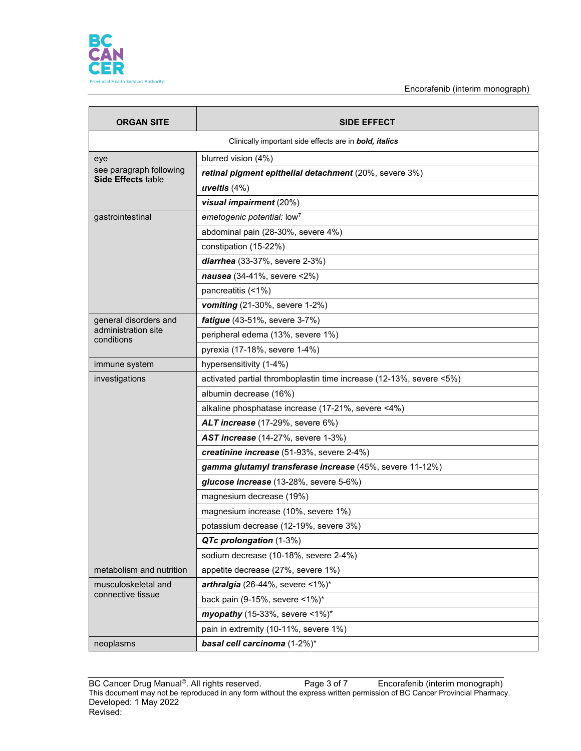

Encorafenib (interim monograph)

| <b>ORGAN SITE</b>                        | <b>SIDE EFFECT</b>                                                  |
|------------------------------------------|---------------------------------------------------------------------|
|                                          | Clinically important side effects are in <b>bold, italics</b>       |
| eye<br>see paragraph following           | blurred vision (4%)                                                 |
|                                          | retinal pigment epithelial detachment (20%, severe 3%)              |
| <b>Side Effects table</b>                | uveitis $(4%)$                                                      |
|                                          | visual impairment (20%)                                             |
| gastrointestinal                         | emetogenic potential: low <sup>7</sup>                              |
|                                          | abdominal pain (28-30%, severe 4%)                                  |
|                                          | constipation (15-22%)                                               |
|                                          | diarrhea (33-37%, severe 2-3%)                                      |
|                                          | nausea (34-41%, severe <2%)                                         |
|                                          | pancreatitis (<1%)                                                  |
|                                          | vomiting (21-30%, severe 1-2%)                                      |
| general disorders and                    | fatigue (43-51%, severe 3-7%)                                       |
| administration site<br>conditions        | peripheral edema (13%, severe 1%)                                   |
|                                          | pyrexia (17-18%, severe 1-4%)                                       |
| immune system                            | hypersensitivity (1-4%)                                             |
| investigations                           | activated partial thromboplastin time increase (12-13%, severe <5%) |
|                                          | albumin decrease (16%)                                              |
|                                          | alkaline phosphatase increase (17-21%, severe <4%)                  |
|                                          | ALT increase (17-29%, severe 6%)                                    |
|                                          | AST increase (14-27%, severe 1-3%)                                  |
|                                          | creatinine increase (51-93%, severe 2-4%)                           |
|                                          | gamma glutamyl transferase increase (45%, severe 11-12%)            |
|                                          | glucose increase (13-28%, severe 5-6%)                              |
|                                          | magnesium decrease (19%)                                            |
|                                          | magnesium increase (10%, severe 1%)                                 |
|                                          | potassium decrease (12-19%, severe 3%)                              |
|                                          | QTc prolongation (1-3%)                                             |
|                                          | sodium decrease (10-18%, severe 2-4%)                               |
| metabolism and nutrition                 | appetite decrease (27%, severe 1%)                                  |
| musculoskeletal and<br>connective tissue | arthralgia (26-44%, severe $\leq 1\%$ )*                            |
|                                          | back pain (9-15%, severe <1%)*                                      |
|                                          | myopathy (15-33%, severe <1%)*                                      |
|                                          | pain in extremity (10-11%, severe 1%)                               |
| neoplasms                                | basal cell carcinoma (1-2%)*                                        |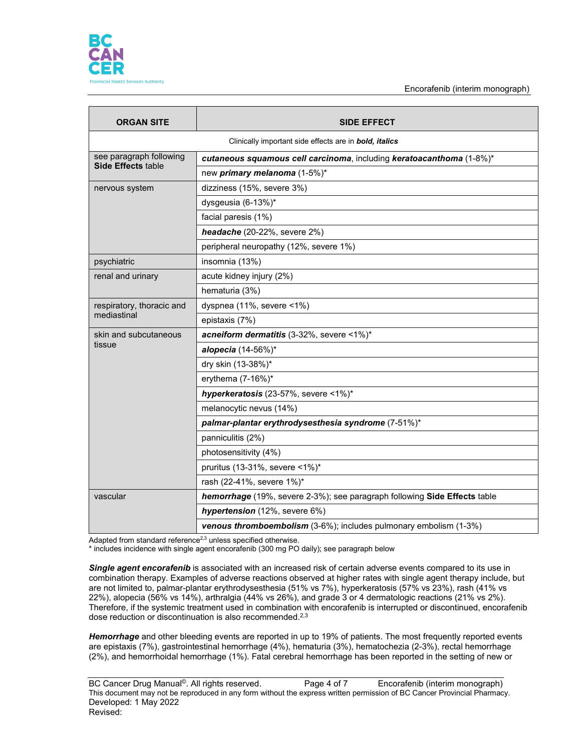

Encorafenib (interim monograph)

| <b>ORGAN SITE</b>                                    | <b>SIDE EFFECT</b>                                                        |  |
|------------------------------------------------------|---------------------------------------------------------------------------|--|
|                                                      | Clinically important side effects are in <b>bold</b> , <i>italics</i>     |  |
| see paragraph following<br><b>Side Effects table</b> | cutaneous squamous cell carcinoma, including keratoacanthoma (1-8%)*      |  |
|                                                      | new <i>primary melanoma</i> (1-5%)*                                       |  |
| nervous system                                       | dizziness (15%, severe 3%)                                                |  |
|                                                      | dysgeusia (6-13%)*                                                        |  |
|                                                      | facial paresis (1%)                                                       |  |
|                                                      | headache (20-22%, severe 2%)                                              |  |
|                                                      | peripheral neuropathy (12%, severe 1%)                                    |  |
| psychiatric                                          | insomnia (13%)                                                            |  |
| renal and urinary                                    | acute kidney injury (2%)                                                  |  |
|                                                      | hematuria (3%)                                                            |  |
| respiratory, thoracic and                            | dyspnea (11%, severe <1%)                                                 |  |
| mediastinal                                          | epistaxis (7%)                                                            |  |
| skin and subcutaneous                                | acneiform dermatitis (3-32%, severe <1%)*                                 |  |
| tissue                                               | alopecia (14-56%)*                                                        |  |
|                                                      | dry skin (13-38%)*                                                        |  |
|                                                      | erythema $(7-16%)^*$                                                      |  |
|                                                      | hyperkeratosis (23-57%, severe <1%)*                                      |  |
|                                                      | melanocytic nevus (14%)                                                   |  |
|                                                      | palmar-plantar erythrodysesthesia syndrome (7-51%)*                       |  |
|                                                      | panniculitis (2%)                                                         |  |
|                                                      | photosensitivity (4%)                                                     |  |
|                                                      | pruritus (13-31%, severe <1%)*                                            |  |
|                                                      | rash (22-41%, severe 1%)*                                                 |  |
| vascular                                             | hemorrhage (19%, severe 2-3%); see paragraph following Side Effects table |  |
|                                                      | hypertension (12%, severe 6%)                                             |  |
|                                                      | venous thromboembolism (3-6%); includes pulmonary embolism (1-3%)         |  |

Adapted from standard reference $^{2,3}$  unless specified otherwise.

\* includes incidence with single agent encorafenib (300 mg PO daily); see paragraph below

*Single agent encorafenib* is associated with an increased risk of certain adverse events compared to its use in combination therapy. Examples of adverse reactions observed at higher rates with single agent therapy include, but are not limited to, palmar-plantar erythrodysesthesia (51% vs 7%), hyperkeratosis (57% vs 23%), rash (41% vs 22%), alopecia (56% vs 14%), arthralgia (44% vs 26%), and grade 3 or 4 dermatologic reactions (21% vs 2%). Therefore, if the systemic treatment used in combination with encorafenib is interrupted or discontinued, encorafenib dose reduction or discontinuation is also recommended. 2,3

*Hemorrhage* and other bleeding events are reported in up to 19% of patients. The most frequently reported events are epistaxis (7%), gastrointestinal hemorrhage (4%), hematuria (3%), hematochezia (2-3%), rectal hemorrhage (2%), and hemorrhoidal hemorrhage (1%). Fatal cerebral hemorrhage has been reported in the setting of new or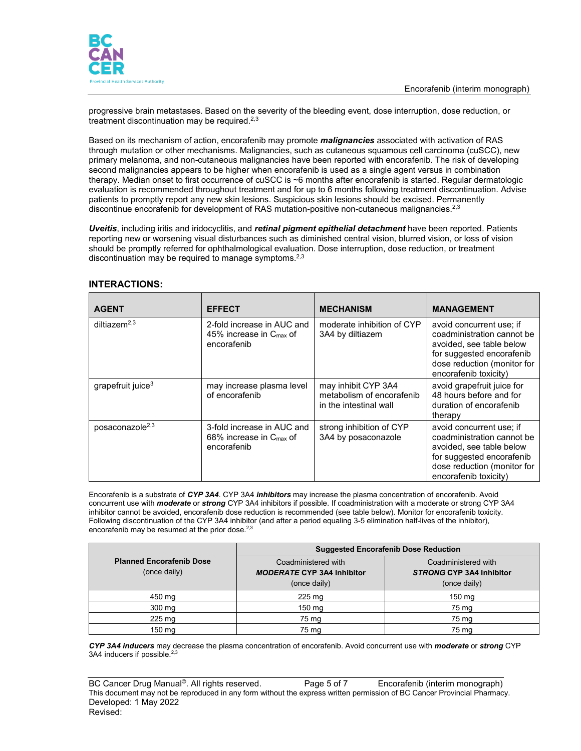

progressive brain metastases. Based on the severity of the bleeding event, dose interruption, dose reduction, or treatment discontinuation may be required.2,3

Based on its mechanism of action, encorafenib may promote *malignancies* associated with activation of RAS through mutation or other mechanisms. Malignancies, such as cutaneous squamous cell carcinoma (cuSCC), new primary melanoma, and non-cutaneous malignancies have been reported with encorafenib. The risk of developing second malignancies appears to be higher when encorafenib is used as a single agent versus in combination therapy. Median onset to first occurrence of cuSCC is ~6 months after encorafenib is started. Regular dermatologic evaluation is recommended throughout treatment and for up to 6 months following treatment discontinuation. Advise patients to promptly report any new skin lesions. Suspicious skin lesions should be excised. Permanently discontinue encorafenib for development of RAS mutation-positive non-cutaneous malignancies.<sup>2,3</sup>

*Uveitis*, including iritis and iridocyclitis, and *retinal pigment epithelial detachment* have been reported. Patients reporting new or worsening visual disturbances such as diminished central vision, blurred vision, or loss of vision should be promptly referred for ophthalmological evaluation. Dose interruption, dose reduction, or treatment discontinuation may be required to manage symptoms. $2,3$ 

| <b>AGENT</b>                  | <b>EFFECT</b>                                                                    | <b>MECHANISM</b>                                                           | <b>MANAGEMENT</b>                                                                                                                                                       |
|-------------------------------|----------------------------------------------------------------------------------|----------------------------------------------------------------------------|-------------------------------------------------------------------------------------------------------------------------------------------------------------------------|
| diltiazem $2,3$               | 2-fold increase in AUC and<br>45% increase in $C_{\text{max}}$ of<br>encorafenib | moderate inhibition of CYP<br>3A4 by diltiazem                             | avoid concurrent use; if<br>coadministration cannot be<br>avoided, see table below<br>for suggested encorafenib<br>dose reduction (monitor for<br>encorafenib toxicity) |
| grapefruit juice <sup>3</sup> | may increase plasma level<br>of encorafenib                                      | may inhibit CYP 3A4<br>metabolism of encorafenib<br>in the intestinal wall | avoid grapefruit juice for<br>48 hours before and for<br>duration of encorafenib<br>therapy                                                                             |
| posaconazole <sup>2,3</sup>   | 3-fold increase in AUC and<br>68% increase in $C_{\text{max}}$ of<br>encorafenib | strong inhibition of CYP<br>3A4 by posaconazole                            | avoid concurrent use; if<br>coadministration cannot be<br>avoided, see table below<br>for suggested encorafenib<br>dose reduction (monitor for<br>encorafenib toxicity) |

## **INTERACTIONS:**

Encorafenib is a substrate of *CYP 3A4*. CYP 3A4 *inhibitors* may increase the plasma concentration of encorafenib. Avoid concurrent use with *moderate* or *strong* CYP 3A4 inhibitors if possible. If coadministration with a moderate or strong CYP 3A4 inhibitor cannot be avoided, encorafenib dose reduction is recommended (see table below). Monitor for encorafenib toxicity. Following discontinuation of the CYP 3A4 inhibitor (and after a period equaling 3-5 elimination half-lives of the inhibitor), encorafenib may be resumed at the prior dose.<sup>2,3</sup>

|                                                 | <b>Suggested Encorafenib Dose Reduction</b>                              |                                                                        |  |
|-------------------------------------------------|--------------------------------------------------------------------------|------------------------------------------------------------------------|--|
| <b>Planned Encorafenib Dose</b><br>(once daily) | Coadministered with<br><b>MODERATE CYP 3A4 Inhibitor</b><br>(once daily) | Coadministered with<br><b>STRONG CYP 3A4 Inhibitor</b><br>(once daily) |  |
| 450 mg                                          | $225 \text{ mg}$                                                         | 150 mg                                                                 |  |
| $300 \text{ mg}$                                | $150 \text{ mg}$                                                         | 75 mg                                                                  |  |
| 225 mg                                          | 75 mg                                                                    | 75 mg                                                                  |  |
| 150 mg                                          | 75 mg                                                                    | 75 mg                                                                  |  |

*CYP 3A4 inducers* may decrease the plasma concentration of encorafenib. Avoid concurrent use with *moderate* or *strong* CYP 3A4 inducers if possible.<sup>2,3</sup>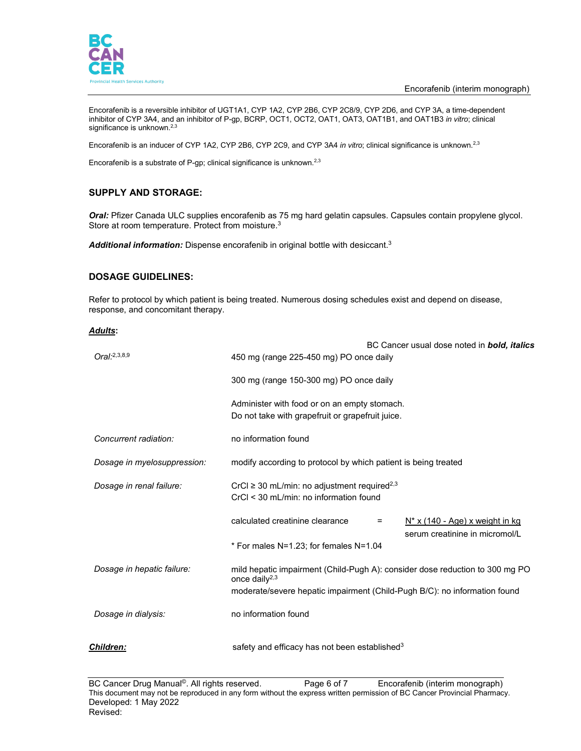

Encorafenib is a reversible inhibitor of UGT1A1, CYP 1A2, CYP 2B6, CYP 2C8/9, CYP 2D6, and CYP 3A, a time-dependent inhibitor of CYP 3A4, and an inhibitor of P-gp, BCRP, OCT1, OCT2, OAT1, OAT3, OAT1B1, and OAT1B3 *in vitro*; clinical significance is unknown.<sup>2,3</sup>

Encorafenib is an inducer of CYP 1A2, CYP 2B6, CYP 2C9, and CYP 3A4 *in vitro*; clinical significance is unknown.<sup>2,3</sup>

Encorafenib is a substrate of P-gp; clinical significance is unknown.<sup>2,3</sup>

# **SUPPLY AND STORAGE:**

*Oral:* Pfizer Canada ULC supplies encorafenib as 75 mg hard gelatin capsules. Capsules contain propylene glycol. Store at room temperature. Protect from moisture.<sup>3</sup>

*Additional information:* Dispense encorafenib in original bottle with desiccant. 3

## **DOSAGE GUIDELINES:**

Refer to protocol by which patient is being treated. Numerous dosing schedules exist and depend on disease, response, and concomitant therapy.

#### *Adults***:**

| Oral:2,3,8,9                | BC Cancer usual dose noted in <b>bold, italics</b><br>450 mg (range 225-450 mg) PO once daily                  |
|-----------------------------|----------------------------------------------------------------------------------------------------------------|
|                             | 300 mg (range 150-300 mg) PO once daily                                                                        |
|                             | Administer with food or on an empty stomach.<br>Do not take with grapefruit or grapefruit juice.               |
| Concurrent radiation:       | no information found                                                                                           |
| Dosage in myelosuppression: | modify according to protocol by which patient is being treated                                                 |
| Dosage in renal failure:    | CrCl $\geq$ 30 mL/min: no adjustment required <sup>2,3</sup><br>CrCl < 30 mL/min: no information found         |
|                             | calculated creatinine clearance<br>$N^*$ x (140 - Age) x weight in kg<br>$=$<br>serum creatinine in micromol/L |
|                             | * For males N=1.23; for females N=1.04                                                                         |
| Dosage in hepatic failure:  | mild hepatic impairment (Child-Pugh A): consider dose reduction to 300 mg PO<br>once daily <sup>2,3</sup>      |
|                             | moderate/severe hepatic impairment (Child-Pugh B/C): no information found                                      |
| Dosage in dialysis:         | no information found                                                                                           |
| <b>Children:</b>            | safety and efficacy has not been established <sup>3</sup>                                                      |